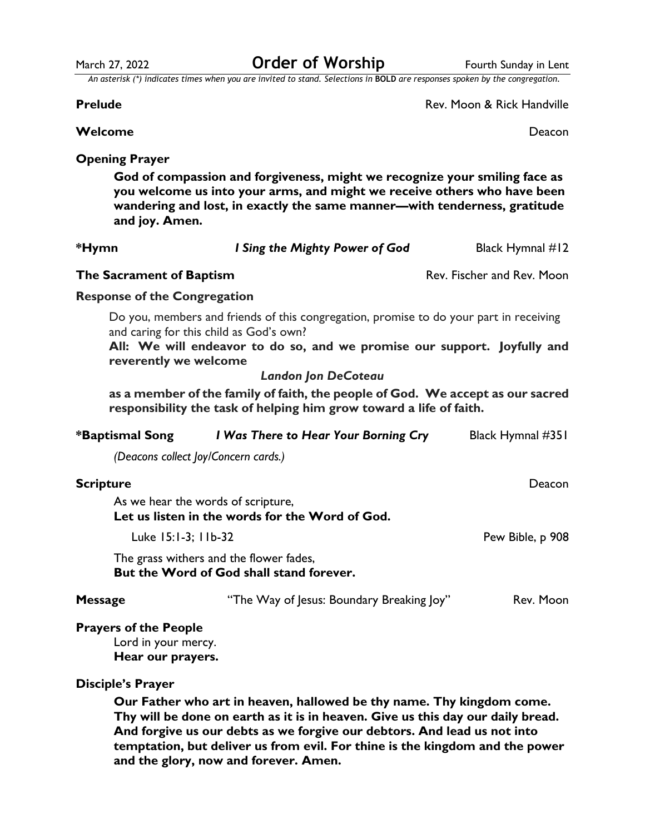March 27, 2022 **Order of Worship** Fourth Sunday in Lent

*An asterisk (\*) indicates times when you are invited to stand. Selections in* **BOLD** *are responses spoken by the congregation.*

**Prelude** Rev. Moon & Rick Handville

**Welcome** Deacon

# **Opening Prayer**

**God of compassion and forgiveness, might we recognize your smiling face as you welcome us into your arms, and might we receive others who have been wandering and lost, in exactly the same manner—with tenderness, gratitude and joy. Amen.**

| *Hymn                                                                    | I Sing the Mighty Power of God                                                                                                                                                                                | Black Hymnal #12           |
|--------------------------------------------------------------------------|---------------------------------------------------------------------------------------------------------------------------------------------------------------------------------------------------------------|----------------------------|
| The Sacrament of Baptism                                                 |                                                                                                                                                                                                               | Rev. Fischer and Rev. Moon |
| <b>Response of the Congregation</b>                                      |                                                                                                                                                                                                               |                            |
| reverently we welcome                                                    | Do you, members and friends of this congregation, promise to do your part in receiving<br>and caring for this child as God's own?<br>All: We will endeavor to do so, and we promise our support. Joyfully and |                            |
|                                                                          | <b>Landon Jon DeCoteau</b>                                                                                                                                                                                    |                            |
|                                                                          | as a member of the family of faith, the people of God. We accept as our sacred<br>responsibility the task of helping him grow toward a life of faith.                                                         |                            |
| *Baptismal Song                                                          | I Was There to Hear Your Borning Cry                                                                                                                                                                          | Black Hymnal #351          |
|                                                                          | (Deacons collect Joy/Concern cards.)                                                                                                                                                                          |                            |
| <b>Scripture</b>                                                         |                                                                                                                                                                                                               | Deacon                     |
|                                                                          | As we hear the words of scripture,<br>Let us listen in the words for the Word of God.                                                                                                                         |                            |
|                                                                          | Luke 15:1-3; 11b-32                                                                                                                                                                                           | Pew Bible, p 908           |
|                                                                          | The grass withers and the flower fades,<br>But the Word of God shall stand forever.                                                                                                                           |                            |
| <b>Message</b>                                                           | "The Way of Jesus: Boundary Breaking Joy"                                                                                                                                                                     | Rev. Moon                  |
| <b>Prayers of the People</b><br>Lord in your mercy.<br>Hear our prayers. |                                                                                                                                                                                                               |                            |

## **Disciple's Prayer**

**Our Father who art in heaven, hallowed be thy name. Thy kingdom come. Thy will be done on earth as it is in heaven. Give us this day our daily bread. And forgive us our debts as we forgive our debtors. And lead us not into temptation, but deliver us from evil. For thine is the kingdom and the power and the glory, now and forever. Amen.**